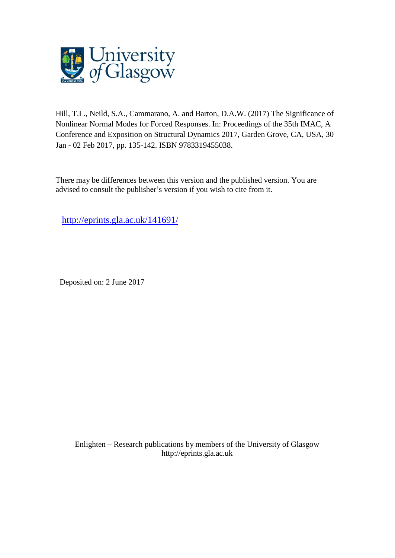

Hill, T.L., Neild, S.A., Cammarano, A. and Barton, D.A.W. (2017) The Significance of Nonlinear Normal Modes for Forced Responses. In: Proceedings of the 35th IMAC, A Conference and Exposition on Structural Dynamics 2017, Garden Grove, CA, USA, 30 Jan - 02 Feb 2017, pp. 135-142. ISBN 9783319455038.

There may be differences between this version and the published version. You are advised to consult the publisher's version if you wish to cite from it.

<http://eprints.gla.ac.uk/141691/>

Deposited on: 2 June 2017

Enlighten – Research publications by members of the University of Glasgo[w](http://eprints.gla.ac.uk/) [http://eprints.gla.ac.uk](http://eprints.gla.ac.uk/)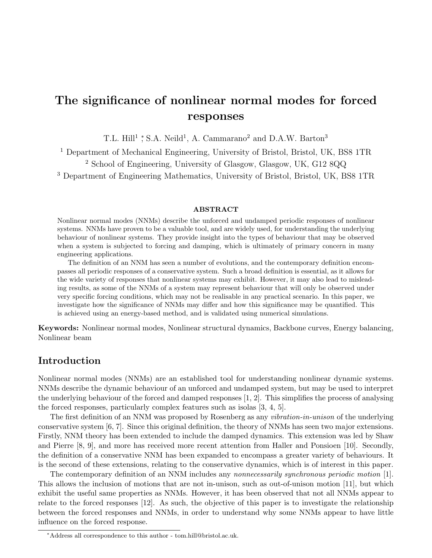# The significance of nonlinear normal modes for forced responses

T.L. Hill<sup>1</sup> \*, S.A. Neild<sup>1</sup>, A. Cammarano<sup>2</sup> and D.A.W. Barton<sup>3</sup>

<sup>1</sup> Department of Mechanical Engineering, University of Bristol, Bristol, UK, BS8 1TR

<sup>2</sup> School of Engineering, University of Glasgow, Glasgow, UK, G12 8QQ

<sup>3</sup> Department of Engineering Mathematics, University of Bristol, Bristol, UK, BS8 1TR

#### ABSTRACT

Nonlinear normal modes (NNMs) describe the unforced and undamped periodic responses of nonlinear systems. NNMs have proven to be a valuable tool, and are widely used, for understanding the underlying behaviour of nonlinear systems. They provide insight into the types of behaviour that may be observed when a system is subjected to forcing and damping, which is ultimately of primary concern in many engineering applications.

The definition of an NNM has seen a number of evolutions, and the contemporary definition encompasses all periodic responses of a conservative system. Such a broad definition is essential, as it allows for the wide variety of responses that nonlinear systems may exhibit. However, it may also lead to misleading results, as some of the NNMs of a system may represent behaviour that will only be observed under very specific forcing conditions, which may not be realisable in any practical scenario. In this paper, we investigate how the significance of NNMs may differ and how this significance may be quantified. This is achieved using an energy-based method, and is validated using numerical simulations.

Keywords: Nonlinear normal modes, Nonlinear structural dynamics, Backbone curves, Energy balancing, Nonlinear beam

## Introduction

Nonlinear normal modes (NNMs) are an established tool for understanding nonlinear dynamic systems. NNMs describe the dynamic behaviour of an unforced and undamped system, but may be used to interpret the underlying behaviour of the forced and damped responses [1, 2]. This simplifies the process of analysing the forced responses, particularly complex features such as isolas [3, 4, 5].

The first definition of an NNM was proposed by Rosenberg as any *vibration-in-unison* of the underlying conservative system [6, 7]. Since this original definition, the theory of NNMs has seen two major extensions. Firstly, NNM theory has been extended to include the damped dynamics. This extension was led by Shaw and Pierre [8, 9], and more has received more recent attention from Haller and Ponsioen [10]. Secondly, the definition of a conservative NNM has been expanded to encompass a greater variety of behaviours. It is the second of these extensions, relating to the conservative dynamics, which is of interest in this paper.

The contemporary definition of an NNM includes any nonnecessarily synchronous periodic motion [1]. This allows the inclusion of motions that are not in-unison, such as out-of-unison motion [11], but which exhibit the useful same properties as NNMs. However, it has been observed that not all NNMs appear to relate to the forced responses [12]. As such, the objective of this paper is to investigate the relationship between the forced responses and NNMs, in order to understand why some NNMs appear to have little influence on the forced response.

<sup>∗</sup>Address all correspondence to this author - tom.hill@bristol.ac.uk.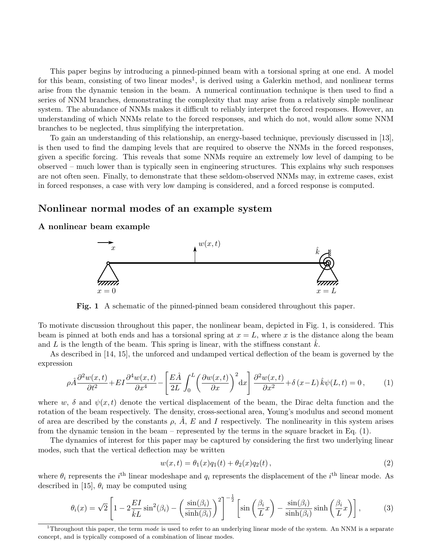This paper begins by introducing a pinned-pinned beam with a torsional spring at one end. A model for this beam, consisting of two linear modes<sup>1</sup>, is derived using a Galerkin method, and nonlinear terms arise from the dynamic tension in the beam. A numerical continuation technique is then used to find a series of NNM branches, demonstrating the complexity that may arise from a relatively simple nonlinear system. The abundance of NNMs makes it difficult to reliably interpret the forced responses. However, an understanding of which NNMs relate to the forced responses, and which do not, would allow some NNM branches to be neglected, thus simplifying the interpretation.

To gain an understanding of this relationship, an energy-based technique, previously discussed in [13], is then used to find the damping levels that are required to observe the NNMs in the forced responses, given a specific forcing. This reveals that some NNMs require an extremely low level of damping to be observed – much lower than is typically seen in engineering structures. This explains why such responses are not often seen. Finally, to demonstrate that these seldom-observed NNMs may, in extreme cases, exist in forced responses, a case with very low damping is considered, and a forced response is computed.

## Nonlinear normal modes of an example system

#### A nonlinear beam example



Fig. 1 A schematic of the pinned-pinned beam considered throughout this paper.

To motivate discussion throughout this paper, the nonlinear beam, depicted in Fig. 1, is considered. This beam is pinned at both ends and has a torsional spring at  $x = L$ , where x is the distance along the beam and  $L$  is the length of the beam. This spring is linear, with the stiffness constant  $k$ .

As described in [14, 15], the unforced and undamped vertical deflection of the beam is governed by the expression

$$
\rho \hat{A} \frac{\partial^2 w(x,t)}{\partial t^2} + EI \frac{\partial^4 w(x,t)}{\partial x^4} - \left[ \frac{E \hat{A}}{2L} \int_0^L \left( \frac{\partial w(x,t)}{\partial x} \right)^2 dx \right] \frac{\partial^2 w(x,t)}{\partial x^2} + \delta (x - L) \hat{k} \psi(L,t) = 0, \tag{1}
$$

where w,  $\delta$  and  $\psi(x,t)$  denote the vertical displacement of the beam, the Dirac delta function and the rotation of the beam respectively. The density, cross-sectional area, Young's modulus and second moment of area are described by the constants  $\rho$ ,  $\tilde{A}$ , E and I respectively. The nonlinearity in this system arises from the dynamic tension in the beam – represented by the terms in the square bracket in Eq. (1).

The dynamics of interest for this paper may be captured by considering the first two underlying linear modes, such that the vertical deflection may be written

$$
w(x,t) = \theta_1(x)q_1(t) + \theta_2(x)q_2(t), \qquad (2)
$$

where  $\theta_i$  represents the i<sup>th</sup> linear modeshape and  $q_i$  represents the displacement of the i<sup>th</sup> linear mode. As described in [15],  $\theta_i$  may be computed using

$$
\theta_i(x) = \sqrt{2} \left[ 1 - 2 \frac{EI}{\hat{k}L} \sin^2(\beta_i) - \left( \frac{\sin(\beta_i)}{\sinh(\beta_i)} \right)^2 \right]^{-\frac{1}{2}} \left[ \sin\left(\frac{\beta_i}{L}x\right) - \frac{\sin(\beta_i)}{\sinh(\beta_i)} \sinh\left(\frac{\beta_i}{L}x\right) \right],\tag{3}
$$

<sup>1</sup>Throughout this paper, the term mode is used to refer to an underlying linear mode of the system. An NNM is a separate concept, and is typically composed of a combination of linear modes.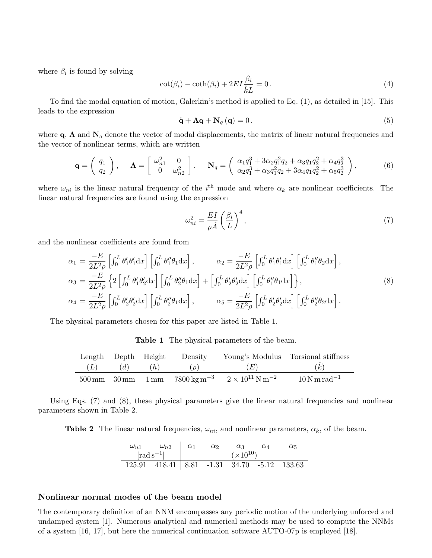where  $\beta_i$  is found by solving

$$
\cot(\beta_i) - \coth(\beta_i) + 2EI \frac{\beta_i}{\hat{k}L} = 0.
$$
\n(4)

To find the modal equation of motion, Galerkin's method is applied to Eq. (1), as detailed in [15]. This leads to the expression

$$
\ddot{\mathbf{q}} + \mathbf{\Lambda}\mathbf{q} + \mathbf{N}_q\left(\mathbf{q}\right) = 0\,,\tag{5}
$$

where  $\mathbf{q}$ ,  $\mathbf{\Lambda}$  and  $\mathbf{N}_q$  denote the vector of modal displacements, the matrix of linear natural frequencies and the vector of nonlinear terms, which are written

$$
\mathbf{q} = \begin{pmatrix} q_1 \\ q_2 \end{pmatrix}, \quad \mathbf{\Lambda} = \begin{bmatrix} \omega_{n1}^2 & 0 \\ 0 & \omega_{n2}^2 \end{bmatrix}, \quad \mathbf{N}_q = \begin{pmatrix} \alpha_1 q_1^3 + 3\alpha_2 q_1^2 q_2 + \alpha_3 q_1 q_2^2 + \alpha_4 q_2^3 \\ \alpha_2 q_1^3 + \alpha_3 q_1^2 q_2 + 3\alpha_4 q_1 q_2^2 + \alpha_5 q_2^3 \end{pmatrix}, \tag{6}
$$

where  $\omega_{ni}$  is the linear natural frequency of the i<sup>th</sup> mode and where  $\alpha_k$  are nonlinear coefficients. The linear natural frequencies are found using the expression

$$
\omega_{ni}^2 = \frac{EI}{\rho \hat{A}} \left(\frac{\beta_i}{L}\right)^4,\tag{7}
$$

and the nonlinear coefficients are found from

$$
\alpha_1 = \frac{-E}{2L^2 \rho} \left[ \int_0^L \theta_1' \theta_1' dx \right] \left[ \int_0^L \theta_1'' \theta_1 dx \right], \qquad \alpha_2 = \frac{-E}{2L^2 \rho} \left[ \int_0^L \theta_1' \theta_1' dx \right] \left[ \int_0^L \theta_1'' \theta_2 dx \right],
$$
  
\n
$$
\alpha_3 = \frac{-E}{2L^2 \rho} \left\{ 2 \left[ \int_0^L \theta_1' \theta_2' dx \right] \left[ \int_0^L \theta_2'' \theta_1 dx \right] + \left[ \int_0^L \theta_2' \theta_2' dx \right] \left[ \int_0^L \theta_1'' \theta_1 dx \right] \right\},
$$
  
\n
$$
\alpha_4 = \frac{-E}{2L^2 \rho} \left[ \int_0^L \theta_2' \theta_2' dx \right] \left[ \int_0^L \theta_2'' \theta_1 dx \right], \qquad \alpha_5 = \frac{-E}{2L^2 \rho} \left[ \int_0^L \theta_2' \theta_2' dx \right] \left[ \int_0^L \theta_2'' \theta_2 dx \right].
$$
  
\n(8)

The physical parameters chosen for this paper are listed in Table 1.

Table 1 The physical parameters of the beam.

| Length Depth Height |     |     | Density  |                                                                                                              | Young's Modulus Torsional stiffness             |
|---------------------|-----|-----|----------|--------------------------------------------------------------------------------------------------------------|-------------------------------------------------|
| (L)                 | (d) | (h) | $(\rho)$ | (E)                                                                                                          | (k)                                             |
|                     |     |     |          | $500 \text{ mm}$ $30 \text{ mm}$ $1 \text{ mm}$ $7800 \text{ kg m}^{-3}$ $2 \times 10^{11} \text{ N m}^{-2}$ | $10\,\mathrm{N}\,\mathrm{m}\,\mathrm{rad}^{-1}$ |

Using Eqs. (7) and (8), these physical parameters give the linear natural frequencies and nonlinear parameters shown in Table 2.

**Table 2** The linear natural frequencies,  $\omega_{ni}$ , and nonlinear parameters,  $\alpha_k$ , of the beam.

$$
\begin{array}{c|cc}\n\omega_{n1} & \omega_{n2} & \alpha_1 & \alpha_2 & \alpha_3 & \alpha_4 & \alpha_5 \\
\hline\n\text{[rad s}^{-1}]\n\end{array}\n\quad\n\begin{array}{c|cc}\n\alpha_1 & \alpha_2 & \alpha_3 & \alpha_4 & \alpha_5 \\
\hline\n(\times 10^{10})\n\end{array}
$$
\n
$$
\begin{array}{c|cc}\n\text{125.91} &418.41 & 8.81 & -1.31 & 34.70 & -5.12 & 133.63\n\end{array}
$$

## Nonlinear normal modes of the beam model

The contemporary definition of an NNM encompasses any periodic motion of the underlying unforced and undamped system [1]. Numerous analytical and numerical methods may be used to compute the NNMs of a system [16, 17], but here the numerical continuation software AUTO-07p is employed [18].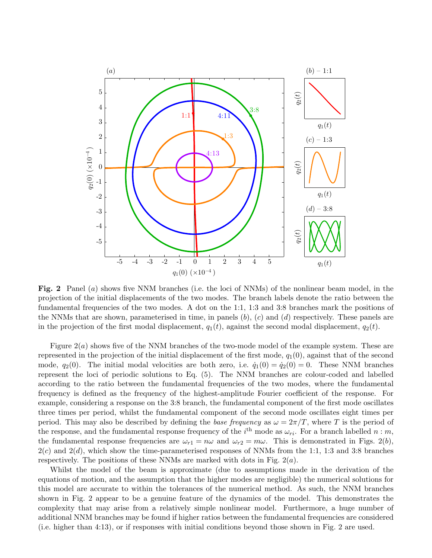

Fig. 2 Panel (a) shows five NNM branches (i.e. the loci of NNMs) of the nonlinear beam model, in the projection of the initial displacements of the two modes. The branch labels denote the ratio between the fundamental frequencies of the two modes. A dot on the 1:1, 1:3 and 3:8 branches mark the positions of the NNMs that are shown, parameterised in time, in panels  $(b)$ ,  $(c)$  and  $(d)$  respectively. These panels are in the projection of the first modal displacement,  $q_1(t)$ , against the second modal displacement,  $q_2(t)$ .

Figure  $2(a)$  shows five of the NNM branches of the two-mode model of the example system. These are represented in the projection of the initial displacement of the first mode,  $q_1(0)$ , against that of the second mode,  $q_2(0)$ . The initial modal velocities are both zero, i.e.  $\dot{q}_1(0) = \dot{q}_2(0) = 0$ . These NNM branches represent the loci of periodic solutions to Eq. (5). The NNM branches are colour-coded and labelled according to the ratio between the fundamental frequencies of the two modes, where the fundamental frequency is defined as the frequency of the highest-amplitude Fourier coefficient of the response. For example, considering a response on the 3:8 branch, the fundamental component of the first mode oscillates three times per period, whilst the fundamental component of the second mode oscillates eight times per period. This may also be described by defining the base frequency as  $\omega = 2\pi/T$ , where T is the period of the response, and the fundamental response frequency of the  $i<sup>th</sup>$  mode as  $\omega_{ri}$ . For a branch labelled  $n : m$ , the fundamental response frequencies are  $\omega_{r1} = n\omega$  and  $\omega_{r2} = m\omega$ . This is demonstrated in Figs. 2(b),  $2(c)$  and  $2(d)$ , which show the time-parameterised responses of NNMs from the 1:1, 1:3 and 3:8 branches respectively. The positions of these NNMs are marked with dots in Fig.  $2(a)$ .

Whilst the model of the beam is approximate (due to assumptions made in the derivation of the equations of motion, and the assumption that the higher modes are negligible) the numerical solutions for this model are accurate to within the tolerances of the numerical method. As such, the NNM branches shown in Fig. 2 appear to be a genuine feature of the dynamics of the model. This demonstrates the complexity that may arise from a relatively simple nonlinear model. Furthermore, a huge number of additional NNM branches may be found if higher ratios between the fundamental frequencies are considered (i.e. higher than 4:13), or if responses with initial conditions beyond those shown in Fig. 2 are used.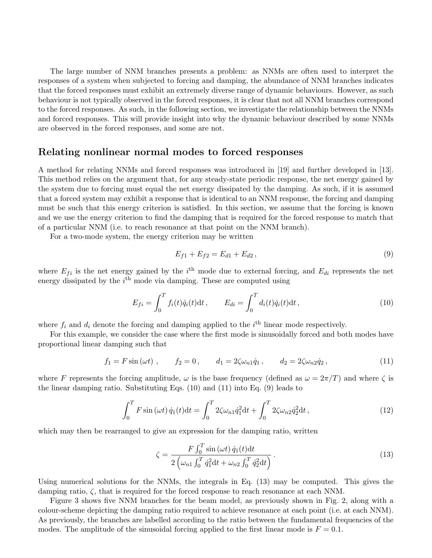The large number of NNM branches presents a problem: as NNMs are often used to interpret the responses of a system when subjected to forcing and damping, the abundance of NNM branches indicates that the forced responses must exhibit an extremely diverse range of dynamic behaviours. However, as such behaviour is not typically observed in the forced responses, it is clear that not all NNM branches correspond to the forced responses. As such, in the following section, we investigate the relationship between the NNMs and forced responses. This will provide insight into why the dynamic behaviour described by some NNMs are observed in the forced responses, and some are not.

## Relating nonlinear normal modes to forced responses

A method for relating NNMs and forced responses was introduced in [19] and further developed in [13]. This method relies on the argument that, for any steady-state periodic response, the net energy gained by the system due to forcing must equal the net energy dissipated by the damping. As such, if it is assumed that a forced system may exhibit a response that is identical to an NNM response, the forcing and damping must be such that this energy criterion is satisfied. In this section, we assume that the forcing is known and we use the energy criterion to find the damping that is required for the forced response to match that of a particular NNM (i.e. to reach resonance at that point on the NNM branch).

For a two-mode system, the energy criterion may be written

$$
E_{f1} + E_{f2} = E_{d1} + E_{d2},\tag{9}
$$

where  $E_{fi}$  is the net energy gained by the i<sup>th</sup> mode due to external forcing, and  $E_{di}$  represents the net energy dissipated by the  $i<sup>th</sup>$  mode via damping. These are computed using

$$
E_{fi} = \int_0^T f_i(t)\dot{q}_i(t)dt, \qquad E_{di} = \int_0^T d_i(t)\dot{q}_i(t)dt,
$$
\n(10)

where  $f_i$  and  $d_i$  denote the forcing and damping applied to the  $i^{\text{th}}$  linear mode respectively.

For this example, we consider the case where the first mode is sinusoidally forced and both modes have proportional linear damping such that

$$
f_1 = F \sin(\omega t) , \qquad f_2 = 0 , \qquad d_1 = 2\zeta \omega_{n1} \dot{q}_1 , \qquad d_2 = 2\zeta \omega_{n2} \dot{q}_2 , \tag{11}
$$

where F represents the forcing amplitude,  $\omega$  is the base frequency (defined as  $\omega = 2\pi/T$ ) and where  $\zeta$  is the linear damping ratio. Substituting Eqs. (10) and (11) into Eq. (9) leads to

$$
\int_0^T F \sin(\omega t) \dot{q}_1(t) dt = \int_0^T 2\zeta \omega_{n1} \dot{q}_1^2 dt + \int_0^T 2\zeta \omega_{n2} \dot{q}_2^2 dt,
$$
\n(12)

which may then be rearranged to give an expression for the damping ratio, written

$$
\zeta = \frac{F \int_0^T \sin(\omega t) \dot{q}_1(t) dt}{2 \left(\omega_{n1} \int_0^T \dot{q}_1^2 dt + \omega_{n2} \int_0^T \dot{q}_2^2 dt\right)}.
$$
\n(13)

Using numerical solutions for the NNMs, the integrals in Eq. (13) may be computed. This gives the damping ratio,  $\zeta$ , that is required for the forced response to reach resonance at each NNM.

Figure 3 shows five NNM branches for the beam model, as previously shown in Fig. 2, along with a colour-scheme depicting the damping ratio required to achieve resonance at each point (i.e. at each NNM). As previously, the branches are labelled according to the ratio between the fundamental frequencies of the modes. The amplitude of the sinusoidal forcing applied to the first linear mode is  $F = 0.1$ .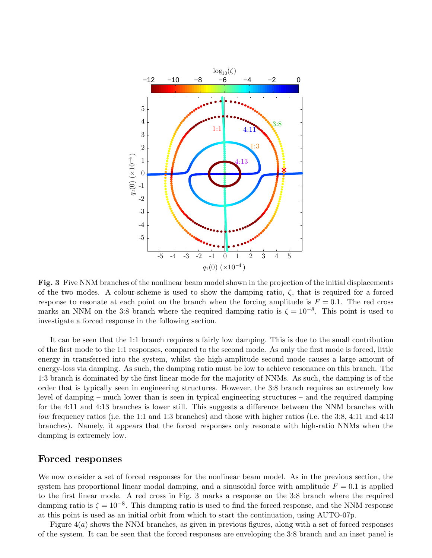

Fig. 3 Five NNM branches of the nonlinear beam model shown in the projection of the initial displacements of the two modes. A colour-scheme is used to show the damping ratio,  $\zeta$ , that is required for a forced response to resonate at each point on the branch when the forcing amplitude is  $F = 0.1$ . The red cross marks an NNM on the 3:8 branch where the required damping ratio is  $\zeta = 10^{-8}$ . This point is used to investigate a forced response in the following section.

It can be seen that the 1:1 branch requires a fairly low damping. This is due to the small contribution of the first mode to the 1:1 responses, compared to the second mode. As only the first mode is forced, little energy in transferred into the system, whilst the high-amplitude second mode causes a large amount of energy-loss via damping. As such, the damping ratio must be low to achieve resonance on this branch. The 1:3 branch is dominated by the first linear mode for the majority of NNMs. As such, the damping is of the order that is typically seen in engineering structures. However, the 3:8 branch requires an extremely low level of damping – much lower than is seen in typical engineering structures – and the required damping for the 4:11 and 4:13 branches is lower still. This suggests a difference between the NNM branches with low frequency ratios (i.e. the 1:1 and 1:3 branches) and those with higher ratios (i.e. the 3:8, 4:11 and 4:13 branches). Namely, it appears that the forced responses only resonate with high-ratio NNMs when the damping is extremely low.

## Forced responses

We now consider a set of forced responses for the nonlinear beam model. As in the previous section, the system has proportional linear modal damping, and a sinusoidal force with amplitude  $F = 0.1$  is applied to the first linear mode. A red cross in Fig. 3 marks a response on the 3:8 branch where the required damping ratio is  $\zeta = 10^{-8}$ . This damping ratio is used to find the forced response, and the NNM response at this point is used as an initial orbit from which to start the continuation, using AUTO-07p.

Figure  $4(a)$  shows the NNM branches, as given in previous figures, along with a set of forced responses of the system. It can be seen that the forced responses are enveloping the 3:8 branch and an inset panel is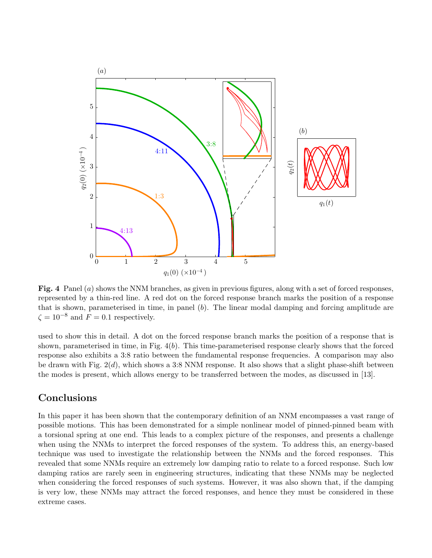

Fig. 4 Panel (a) shows the NNM branches, as given in previous figures, along with a set of forced responses, represented by a thin-red line. A red dot on the forced response branch marks the position of a response that is shown, parameterised in time, in panel  $(b)$ . The linear modal damping and forcing amplitude are  $\zeta = 10^{-8}$  and  $F = 0.1$  respectively.

used to show this in detail. A dot on the forced response branch marks the position of a response that is shown, parameterised in time, in Fig.  $4(b)$ . This time-parameterised response clearly shows that the forced response also exhibits a 3:8 ratio between the fundamental response frequencies. A comparison may also be drawn with Fig.  $2(d)$ , which shows a 3:8 NNM response. It also shows that a slight phase-shift between the modes is present, which allows energy to be transferred between the modes, as discussed in [13].

## Conclusions

In this paper it has been shown that the contemporary definition of an NNM encompasses a vast range of possible motions. This has been demonstrated for a simple nonlinear model of pinned-pinned beam with a torsional spring at one end. This leads to a complex picture of the responses, and presents a challenge when using the NNMs to interpret the forced responses of the system. To address this, an energy-based technique was used to investigate the relationship between the NNMs and the forced responses. This revealed that some NNMs require an extremely low damping ratio to relate to a forced response. Such low damping ratios are rarely seen in engineering structures, indicating that these NNMs may be neglected when considering the forced responses of such systems. However, it was also shown that, if the damping is very low, these NNMs may attract the forced responses, and hence they must be considered in these extreme cases.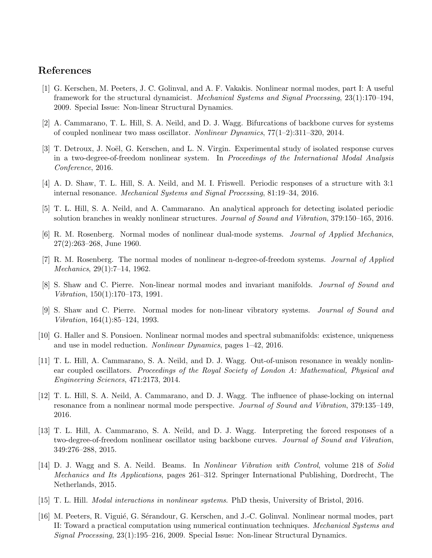# References

- [1] G. Kerschen, M. Peeters, J. C. Golinval, and A. F. Vakakis. Nonlinear normal modes, part I: A useful framework for the structural dynamicist. Mechanical Systems and Signal Processing, 23(1):170–194, 2009. Special Issue: Non-linear Structural Dynamics.
- [2] A. Cammarano, T. L. Hill, S. A. Neild, and D. J. Wagg. Bifurcations of backbone curves for systems of coupled nonlinear two mass oscillator. Nonlinear Dynamics, 77(1–2):311–320, 2014.
- [3] T. Detroux, J. Noël, G. Kerschen, and L. N. Virgin. Experimental study of isolated response curves in a two-degree-of-freedom nonlinear system. In Proceedings of the International Modal Analysis Conference, 2016.
- [4] A. D. Shaw, T. L. Hill, S. A. Neild, and M. I. Friswell. Periodic responses of a structure with 3:1 internal resonance. Mechanical Systems and Signal Processing, 81:19–34, 2016.
- [5] T. L. Hill, S. A. Neild, and A. Cammarano. An analytical approach for detecting isolated periodic solution branches in weakly nonlinear structures. Journal of Sound and Vibration, 379:150–165, 2016.
- [6] R. M. Rosenberg. Normal modes of nonlinear dual-mode systems. Journal of Applied Mechanics, 27(2):263–268, June 1960.
- [7] R. M. Rosenberg. The normal modes of nonlinear n-degree-of-freedom systems. Journal of Applied Mechanics, 29(1):7–14, 1962.
- [8] S. Shaw and C. Pierre. Non-linear normal modes and invariant manifolds. Journal of Sound and Vibration, 150(1):170–173, 1991.
- [9] S. Shaw and C. Pierre. Normal modes for non-linear vibratory systems. Journal of Sound and Vibration, 164(1):85–124, 1993.
- [10] G. Haller and S. Ponsioen. Nonlinear normal modes and spectral submanifolds: existence, uniqueness and use in model reduction. Nonlinear Dynamics, pages 1–42, 2016.
- [11] T. L. Hill, A. Cammarano, S. A. Neild, and D. J. Wagg. Out-of-unison resonance in weakly nonlinear coupled oscillators. Proceedings of the Royal Society of London A: Mathematical, Physical and Engineering Sciences, 471:2173, 2014.
- [12] T. L. Hill, S. A. Neild, A. Cammarano, and D. J. Wagg. The influence of phase-locking on internal resonance from a nonlinear normal mode perspective. Journal of Sound and Vibration, 379:135–149, 2016.
- [13] T. L. Hill, A. Cammarano, S. A. Neild, and D. J. Wagg. Interpreting the forced responses of a two-degree-of-freedom nonlinear oscillator using backbone curves. Journal of Sound and Vibration, 349:276–288, 2015.
- [14] D. J. Wagg and S. A. Neild. Beams. In Nonlinear Vibration with Control, volume 218 of Solid Mechanics and Its Applications, pages 261–312. Springer International Publishing, Dordrecht, The Netherlands, 2015.
- [15] T. L. Hill. Modal interactions in nonlinear systems. PhD thesis, University of Bristol, 2016.
- [16] M. Peeters, R. Viguié, G. Sérandour, G. Kerschen, and J.-C. Golinval. Nonlinear normal modes, part II: Toward a practical computation using numerical continuation techniques. Mechanical Systems and Signal Processing, 23(1):195–216, 2009. Special Issue: Non-linear Structural Dynamics.